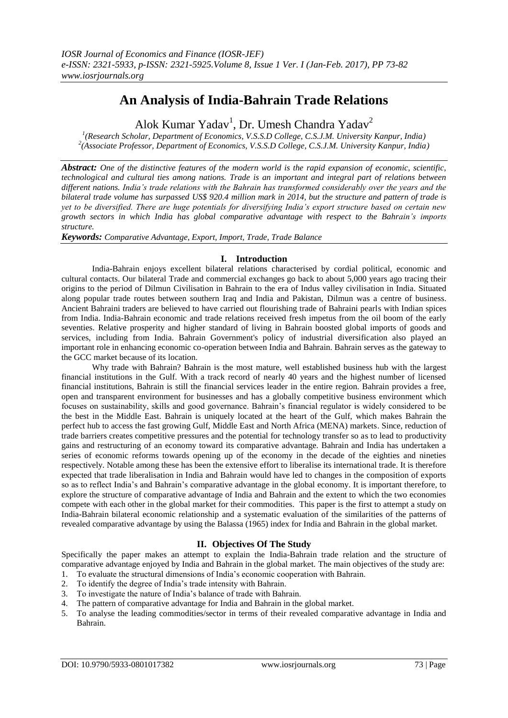# **An Analysis of India-Bahrain Trade Relations**

Alok Kumar Yadav<sup>1</sup>, Dr. Umesh Chandra Yadav<sup>2</sup>

*1 (Research Scholar, Department of Economics, V.S.S.D College, C.S.J.M. University Kanpur, India) 2 (Associate Professor, Department of Economics, V.S.S.D College, C.S.J.M. University Kanpur, India)*

*Abstract: One of the distinctive features of the modern world is the rapid expansion of economic, scientific, technological and cultural ties among nations. Trade is an important and integral part of relations between different nations. India's trade relations with the Bahrain has transformed considerably over the years and the bilateral trade volume has surpassed US\$ 920.4 million mark in 2014, but the structure and pattern of trade is yet to be diversified. There are huge potentials for diversifying India's export structure based on certain new growth sectors in which India has global comparative advantage with respect to the Bahrain's imports structure.* 

*Keywords: Comparative Advantage, Export, Import, Trade, Trade Balance*

# **I. Introduction**

India-Bahrain enjoys excellent bilateral relations characterised by cordial political, economic and cultural contacts. Our bilateral Trade and commercial exchanges go back to about 5,000 years ago tracing their origins to the period of Dilmun Civilisation in Bahrain to the era of Indus valley civilisation in India. Situated along popular trade routes between southern Iraq and India and Pakistan, Dilmun was a centre of business. Ancient Bahraini traders are believed to have carried out flourishing trade of Bahraini pearls with Indian spices from India. India-Bahrain economic and trade relations received fresh impetus from the oil boom of the early seventies. Relative prosperity and higher standard of living in Bahrain boosted global imports of goods and services, including from India. Bahrain Government's policy of industrial diversification also played an important role in enhancing economic co-operation between India and Bahrain. Bahrain serves as the gateway to the GCC market because of its location.

Why trade with Bahrain? Bahrain is the most mature, well established business hub with the largest financial institutions in the Gulf. With a track record of nearly 40 years and the highest number of licensed financial institutions, Bahrain is still the financial services leader in the entire region. Bahrain provides a free, open and transparent environment for businesses and has a globally competitive business environment which focuses on sustainability, skills and good governance. Bahrain"s financial regulator is widely considered to be the best in the Middle East. Bahrain is uniquely located at the heart of the Gulf, which makes Bahrain the perfect hub to access the fast growing Gulf, Middle East and North Africa (MENA) markets. Since, reduction of trade barriers creates competitive pressures and the potential for technology transfer so as to lead to productivity gains and restructuring of an economy toward its comparative advantage. Bahrain and India has undertaken a series of economic reforms towards opening up of the economy in the decade of the eighties and nineties respectively. Notable among these has been the extensive effort to liberalise its international trade. It is therefore expected that trade liberalisation in India and Bahrain would have led to changes in the composition of exports so as to reflect India"s and Bahrain"s comparative advantage in the global economy. It is important therefore, to explore the structure of comparative advantage of India and Bahrain and the extent to which the two economies compete with each other in the global market for their commodities. This paper is the first to attempt a study on India-Bahrain bilateral economic relationship and a systematic evaluation of the similarities of the patterns of revealed comparative advantage by using the Balassa (1965) index for India and Bahrain in the global market.

# **II. Objectives Of The Study**

Specifically the paper makes an attempt to explain the India-Bahrain trade relation and the structure of comparative advantage enjoyed by India and Bahrain in the global market. The main objectives of the study are:

- 1. To evaluate the structural dimensions of India"s economic cooperation with Bahrain.
- 2. To identify the degree of India"s trade intensity with Bahrain.
- 3. To investigate the nature of India"s balance of trade with Bahrain.
- 4. The pattern of comparative advantage for India and Bahrain in the global market.
- 5. To analyse the leading commodities/sector in terms of their revealed comparative advantage in India and Bahrain.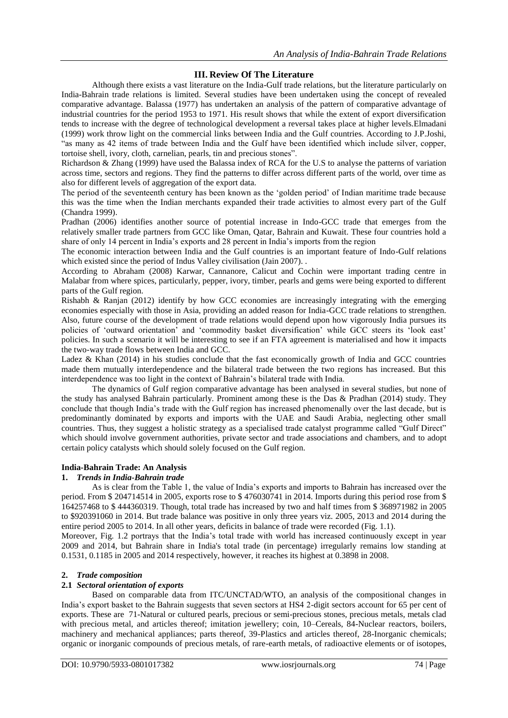# **III. Review Of The Literature**

Although there exists a vast literature on the India-Gulf trade relations, but the literature particularly on India-Bahrain trade relations is limited. Several studies have been undertaken using the concept of revealed comparative advantage. Balassa (1977) has undertaken an analysis of the pattern of comparative advantage of industrial countries for the period 1953 to 1971. His result shows that while the extent of export diversification tends to increase with the degree of technological development a reversal takes place at higher levels.Elmadani (1999) work throw light on the commercial links between India and the Gulf countries. According to J.P.Joshi, "as many as 42 items of trade between India and the Gulf have been identified which include silver, copper, tortoise shell, ivory, cloth, carnelian, pearls, tin and precious stones".

Richardson & Zhang (1999) have used the Balassa index of RCA for the U.S to analyse the patterns of variation across time, sectors and regions. They find the patterns to differ across different parts of the world, over time as also for different levels of aggregation of the export data.

The period of the seventeenth century has been known as the "golden period" of Indian maritime trade because this was the time when the Indian merchants expanded their trade activities to almost every part of the Gulf (Chandra 1999).

Pradhan (2006) identifies another source of potential increase in Indo-GCC trade that emerges from the relatively smaller trade partners from GCC like Oman, Qatar, Bahrain and Kuwait. These four countries hold a share of only 14 percent in India"s exports and 28 percent in India"s imports from the region

The economic interaction between India and the Gulf countries is an important feature of Indo-Gulf relations which existed since the period of Indus Valley civilisation (Jain 2007).

According to Abraham (2008) Karwar, Cannanore, Calicut and Cochin were important trading centre in Malabar from where spices, particularly, pepper, ivory, timber, pearls and gems were being exported to different parts of the Gulf region.

Rishabh & Ranjan (2012) identify by how GCC economies are increasingly integrating with the emerging economies especially with those in Asia, providing an added reason for India-GCC trade relations to strengthen. Also, future course of the development of trade relations would depend upon how vigorously India pursues its policies of 'outward orientation' and 'commodity basket diversification' while GCC steers its 'look east' policies. In such a scenario it will be interesting to see if an FTA agreement is materialised and how it impacts the two-way trade flows between India and GCC.

Ladez & Khan (2014) in his studies conclude that the fast economically growth of India and GCC countries made them mutually interdependence and the bilateral trade between the two regions has increased. But this interdependence was too light in the context of Bahrain"s bilateral trade with India.

The dynamics of Gulf region comparative advantage has been analysed in several studies, but none of the study has analysed Bahrain particularly. Prominent among these is the Das & Pradhan (2014) study. They conclude that though India"s trade with the Gulf region has increased phenomenally over the last decade, but is predominantly dominated by exports and imports with the UAE and Saudi Arabia, neglecting other small countries. Thus, they suggest a holistic strategy as a specialised trade catalyst programme called "Gulf Direct" which should involve government authorities, private sector and trade associations and chambers, and to adopt certain policy catalysts which should solely focused on the Gulf region.

#### **India-Bahrain Trade: An Analysis**

#### **1.** *Trends in India-Bahrain trade*

As is clear from the Table 1, the value of India"s exports and imports to Bahrain has increased over the period. From \$ 204714514 in 2005, exports rose to \$ 476030741 in 2014. Imports during this period rose from \$ 164257468 to \$ 444360319. Though, total trade has increased by two and half times from \$ 368971982 in 2005 to \$920391060 in 2014. But trade balance was positive in only three years viz. 2005, 2013 and 2014 during the entire period 2005 to 2014. In all other years, deficits in balance of trade were recorded (Fig. 1.1).

Moreover, Fig. 1.2 portrays that the India"s total trade with world has increased continuously except in year 2009 and 2014, but Bahrain share in India's total trade (in percentage) irregularly remains low standing at 0.1531, 0.1185 in 2005 and 2014 respectively, however, it reaches its highest at 0.3898 in 2008.

#### **2.** *Trade composition*

#### **2.1** *Sectoral orientation of exports*

Based on comparable data from ITC/UNCTAD/WTO, an analysis of the compositional changes in India"s export basket to the Bahrain suggests that seven sectors at HS4 2-digit sectors account for 65 per cent of exports. These are 71-Natural or cultured pearls, precious or semi-precious stones, precious metals, metals clad with precious metal, and articles thereof; imitation jewellery; coin, 10–Cereals, 84-Nuclear reactors, boilers, machinery and mechanical appliances; parts thereof, 39-Plastics and articles thereof, 28-Inorganic chemicals; organic or inorganic compounds of precious metals, of rare-earth metals, of radioactive elements or of isotopes,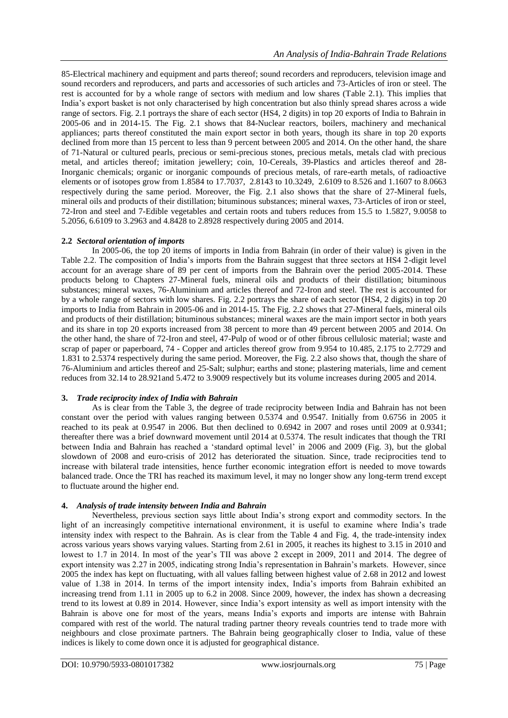85-Electrical machinery and equipment and parts thereof; sound recorders and reproducers, television image and sound recorders and reproducers, and parts and accessories of such articles and 73-Articles of iron or steel. The rest is accounted for by a whole range of sectors with medium and low shares (Table 2.1). This implies that India"s export basket is not only characterised by high concentration but also thinly spread shares across a wide range of sectors. Fig. 2.1 portrays the share of each sector (HS4, 2 digits) in top 20 exports of India to Bahrain in 2005-06 and in 2014-15. The Fig. 2.1 shows that 84-Nuclear reactors, boilers, machinery and mechanical appliances; parts thereof constituted the main export sector in both years, though its share in top 20 exports declined from more than 15 percent to less than 9 percent between 2005 and 2014. On the other hand, the share of 71-Natural or cultured pearls, precious or semi-precious stones, precious metals, metals clad with precious metal, and articles thereof; imitation jewellery; coin, 10-Cereals, 39-Plastics and articles thereof and 28- Inorganic chemicals; organic or inorganic compounds of precious metals, of rare-earth metals, of radioactive elements or of isotopes grow from 1.8584 to 17.7037, 2.8143 to 10.3249, 2.6109 to 8.526 and 1.1607 to 8.0663 respectively during the same period. Moreover, the Fig. 2.1 also shows that the share of 27-Mineral fuels, mineral oils and products of their distillation; bituminous substances; mineral waxes, 73-Articles of iron or steel, 72-Iron and steel and 7-Edible vegetables and certain roots and tubers reduces from 15.5 to 1.5827, 9.0058 to 5.2056, 6.6109 to 3.2963 and 4.8428 to 2.8928 respectively during 2005 and 2014.

#### **2.2** *Sectoral orientation of imports*

In 2005-06, the top 20 items of imports in India from Bahrain (in order of their value) is given in the Table 2.2. The composition of India"s imports from the Bahrain suggest that three sectors at HS4 2-digit level account for an average share of 89 per cent of imports from the Bahrain over the period 2005-2014. These products belong to Chapters 27-Mineral fuels, mineral oils and products of their distillation; bituminous substances; mineral waxes, 76-Aluminium and articles thereof and 72-Iron and steel. The rest is accounted for by a whole range of sectors with low shares. Fig. 2.2 portrays the share of each sector (HS4, 2 digits) in top 20 imports to India from Bahrain in 2005-06 and in 2014-15. The Fig. 2.2 shows that 27-Mineral fuels, mineral oils and products of their distillation; bituminous substances; mineral waxes are the main import sector in both years and its share in top 20 exports increased from 38 percent to more than 49 percent between 2005 and 2014. On the other hand, the share of 72-Iron and steel, 47-Pulp of wood or of other fibrous cellulosic material; waste and scrap of paper or paperboard, 74 - Copper and articles thereof grow from 9.954 to 10.485, 2.175 to 2.7729 and 1.831 to 2.5374 respectively during the same period. Moreover, the Fig. 2.2 also shows that, though the share of 76-Aluminium and articles thereof and 25-Salt; sulphur; earths and stone; plastering materials, lime and cement reduces from 32.14 to 28.921and 5.472 to 3.9009 respectively but its volume increases during 2005 and 2014.

## **3.** *Trade reciprocity index of India with Bahrain*

As is clear from the Table 3, the degree of trade reciprocity between India and Bahrain has not been constant over the period with values ranging between 0.5374 and 0.9547. Initially from 0.6756 in 2005 it reached to its peak at 0.9547 in 2006. But then declined to 0.6942 in 2007 and roses until 2009 at 0.9341; thereafter there was a brief downward movement until 2014 at 0.5374. The result indicates that though the TRI between India and Bahrain has reached a "standard optimal level" in 2006 and 2009 (Fig. 3), but the global slowdown of 2008 and euro-crisis of 2012 has deteriorated the situation. Since, trade reciprocities tend to increase with bilateral trade intensities, hence further economic integration effort is needed to move towards balanced trade. Once the TRI has reached its maximum level, it may no longer show any long-term trend except to fluctuate around the higher end.

## **4.** *Analysis of trade intensity between India and Bahrain*

Nevertheless, previous section says little about India"s strong export and commodity sectors. In the light of an increasingly competitive international environment, it is useful to examine where India"s trade intensity index with respect to the Bahrain. As is clear from the Table 4 and Fig. 4, the trade-intensity index across various years shows varying values. Starting from 2.61 in 2005, it reaches its highest to 3.15 in 2010 and lowest to 1.7 in 2014. In most of the year's TII was above 2 except in 2009, 2011 and 2014. The degree of export intensity was 2.27 in 2005, indicating strong India"s representation in Bahrain"s markets. However, since 2005 the index has kept on fluctuating, with all values falling between highest value of 2.68 in 2012 and lowest value of 1.38 in 2014. In terms of the import intensity index, India"s imports from Bahrain exhibited an increasing trend from 1.11 in 2005 up to 6.2 in 2008. Since 2009, however, the index has shown a decreasing trend to its lowest at 0.89 in 2014. However, since India"s export intensity as well as import intensity with the Bahrain is above one for most of the years, means India"s exports and imports are intense with Bahrain compared with rest of the world. The natural trading partner theory reveals countries tend to trade more with neighbours and close proximate partners. The Bahrain being geographically closer to India, value of these indices is likely to come down once it is adjusted for geographical distance.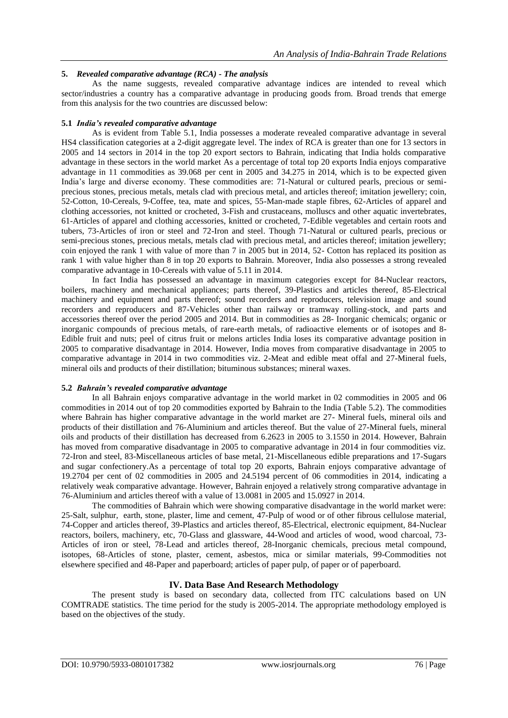## **5.** *Revealed comparative advantage (RCA) - The analysis*

As the name suggests, revealed comparative advantage indices are intended to reveal which sector/industries a country has a comparative advantage in producing goods from. Broad trends that emerge from this analysis for the two countries are discussed below:

### **5.1** *India's revealed comparative advantage*

As is evident from Table 5.1, India possesses a moderate revealed comparative advantage in several HS4 classification categories at a 2-digit aggregate level. The index of RCA is greater than one for 13 sectors in 2005 and 14 sectors in 2014 in the top 20 export sectors to Bahrain, indicating that India holds comparative advantage in these sectors in the world market As a percentage of total top 20 exports India enjoys comparative advantage in 11 commodities as 39.068 per cent in 2005 and 34.275 in 2014, which is to be expected given India"s large and diverse economy. These commodities are: 71-Natural or cultured pearls, precious or semiprecious stones, precious metals, metals clad with precious metal, and articles thereof; imitation jewellery; coin, 52-Cotton, 10-Cereals, 9-Coffee, tea, mate and spices, 55-Man-made staple fibres, 62-Articles of apparel and clothing accessories, not knitted or crocheted, 3-Fish and crustaceans, molluscs and other aquatic invertebrates, 61-Articles of apparel and clothing accessories, knitted or crocheted, 7-Edible vegetables and certain roots and tubers, 73-Articles of iron or steel and 72-Iron and steel. Though 71-Natural or cultured pearls, precious or semi-precious stones, precious metals, metals clad with precious metal, and articles thereof; imitation jewellery; coin enjoyed the rank 1 with value of more than 7 in 2005 but in 2014, 52- Cotton has replaced its position as rank 1 with value higher than 8 in top 20 exports to Bahrain. Moreover, India also possesses a strong revealed comparative advantage in 10-Cereals with value of 5.11 in 2014.

In fact India has possessed an advantage in maximum categories except for 84-Nuclear reactors, boilers, machinery and mechanical appliances; parts thereof, 39-Plastics and articles thereof, 85-Electrical machinery and equipment and parts thereof; sound recorders and reproducers, television image and sound recorders and reproducers and 87-Vehicles other than railway or tramway rolling-stock, and parts and accessories thereof over the period 2005 and 2014. But in commodities as 28- Inorganic chemicals; organic or inorganic compounds of precious metals, of rare-earth metals, of radioactive elements or of isotopes and 8- Edible fruit and nuts; peel of citrus fruit or melons articles India loses its comparative advantage position in 2005 to comparative disadvantage in 2014. However, India moves from comparative disadvantage in 2005 to comparative advantage in 2014 in two commodities viz. 2-Meat and edible meat offal and 27-Mineral fuels, mineral oils and products of their distillation; bituminous substances; mineral waxes.

## **5.2** *Bahrain's revealed comparative advantage*

In all Bahrain enjoys comparative advantage in the world market in 02 commodities in 2005 and 06 commodities in 2014 out of top 20 commodities exported by Bahrain to the India (Table 5.2). The commodities where Bahrain has higher comparative advantage in the world market are 27- Mineral fuels, mineral oils and products of their distillation and 76-Aluminium and articles thereof. But the value of 27-Mineral fuels, mineral oils and products of their distillation has decreased from 6.2623 in 2005 to 3.1550 in 2014. However, Bahrain has moved from comparative disadvantage in 2005 to comparative advantage in 2014 in four commodities viz. 72-Iron and steel, 83-Miscellaneous articles of base metal, 21-Miscellaneous edible preparations and 17-Sugars and sugar confectionery.As a percentage of total top 20 exports, Bahrain enjoys comparative advantage of 19.2704 per cent of 02 commodities in 2005 and 24.5194 percent of 06 commodities in 2014, indicating a relatively weak comparative advantage. However, Bahrain enjoyed a relatively strong comparative advantage in 76-Aluminium and articles thereof with a value of 13.0081 in 2005 and 15.0927 in 2014.

The commodities of Bahrain which were showing comparative disadvantage in the world market were: 25-Salt, sulphur, earth, stone, plaster, lime and cement, 47-Pulp of wood or of other fibrous cellulose material, 74-Copper and articles thereof, 39-Plastics and articles thereof, 85-Electrical, electronic equipment, 84-Nuclear reactors, boilers, machinery, etc, 70-Glass and glassware, 44-Wood and articles of wood, wood charcoal, 73- Articles of iron or steel, 78-Lead and articles thereof, 28-Inorganic chemicals, precious metal compound, isotopes, 68-Articles of stone, plaster, cement, asbestos, mica or similar materials, 99-Commodities not elsewhere specified and 48-Paper and paperboard; articles of paper pulp, of paper or of paperboard.

## **IV. Data Base And Research Methodology**

The present study is based on secondary data, collected from ITC calculations based on UN COMTRADE statistics. The time period for the study is 2005-2014. The appropriate methodology employed is based on the objectives of the study.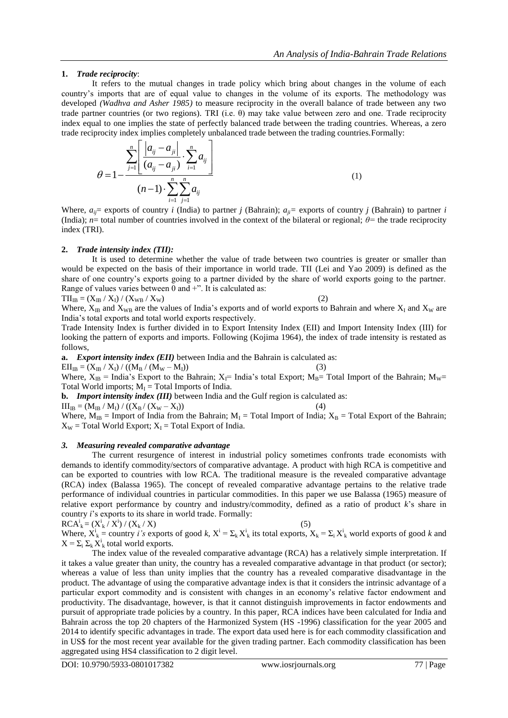## **1.** *Trade reciprocity*:

It refers to the mutual changes in trade policy which bring about changes in the volume of each country"s imports that are of equal value to changes in the volume of its exports. The methodology was developed *(Wadhva and Asher 1985)* to measure reciprocity in the overall balance of trade between any two trade partner countries (or two regions). TRI (i.e.  $θ$ ) may take value between zero and one. Trade reciprocity index equal to one implies the state of perfectly balanced trade between the trading countries. Whereas, a zero trade reciprocity index implies completely unbalanced trade between the trading countries. Formally:<br> $\frac{n}{\sqrt{n}}\left|\begin{array}{cc} |a_{ij} - a_{ij}| & \frac{n}{\sqrt{n}} \end{array}\right|$ 

$$
\theta = 1 - \frac{\sum_{j=1}^{n} \left[ \frac{|a_{ij} - a_{ji}|}{(a_{ij} - a_{ji})} \cdot \sum_{i=1}^{n} a_{ij} \right]}{(n-1) \cdot \sum_{i=1}^{n} \sum_{j=1}^{n} a_{ij}}
$$
(1)

Where,  $a_{ij}$  = exports of country *i* (India) to partner *j* (Bahrain);  $a_{ji}$  = exports of country *j* (Bahrain) to partner *i* (India); *n*= total number of countries involved in the context of the bilateral or regional; *θ=* the trade reciprocity index (TRI).

#### **2.** *Trade intensity index (TII):*

It is used to determine whether the value of trade between two countries is greater or smaller than would be expected on the basis of their importance in world trade. TII (Lei and Yao 2009) is defined as the share of one country"s exports going to a partner divided by the share of world exports going to the partner. Range of values varies between 0 and +". It is calculated as:

 $TII_{\text{IB}} = (X_{\text{IB}} / X_{\text{I}}) / (X_{\text{WB}} / X_{\text{W}})$  (2)

Where,  $X_{IB}$  and  $X_{WB}$  are the values of India's exports and of world exports to Bahrain and where  $X_I$  and  $X_W$  are India"s total exports and total world exports respectively.

Trade Intensity Index is further divided in to Export Intensity Index (EII) and Import Intensity Index (III) for looking the pattern of exports and imports. Following (Kojima 1964), the index of trade intensity is restated as follows,

**a.** *Export intensity index (EII)* between India and the Bahrain is calculated as:

 $EII_{IB} = (X_{IB} / X_I) / ((M_B / (M_W - M_I))$  (3)

Where,  $X_{IB}$  = India's Export to the Bahrain;  $X_{IB}$  India's total Export;  $M_{IB}$  Total Import of the Bahrain;  $M_{W}$ Total World imports;  $M_I$  = Total Imports of India.

**b.** *Import intensity index (III)* between India and the Gulf region is calculated as:

 $III_{\text{IR}} = (M_{\text{IR}} / M_{\text{I}}) / ((X_{\text{R}} / (X_{\text{W}} - X_{\text{I}}))$  (4)

Where,  $M_{IB}$  = Import of India from the Bahrain;  $M_I$  = Total Import of India;  $X_B$  = Total Export of the Bahrain;  $X_W$  = Total World Export;  $X_I$  = Total Export of India.

#### *3. Measuring revealed comparative advantage*

The current resurgence of interest in industrial policy sometimes confronts trade economists with demands to identify commodity/sectors of comparative advantage. A product with high RCA is competitive and can be exported to countries with low RCA. The traditional measure is the revealed comparative advantage (RCA) index (Balassa 1965). The concept of revealed comparative advantage pertains to the relative trade performance of individual countries in particular commodities. In this paper we use Balassa (1965) measure of relative export performance by country and industry/commodity, defined as a ratio of product *k*"s share in country *i*"s exports to its share in world trade. Formally:

$$
RCAki = (Xki / Xi) / (Xk / X)
$$
 (5)

Where,  $X^i_k$  = country *i's* exports of good *k*,  $X^i = \sum_k X^i_k$  its total exports,  $X_k = \sum_i X^i_k$  world exports of good *k* and  $X = \sum_i \sum_k X^i_k$  total world exports.

The index value of the revealed comparative advantage (RCA) has a relatively simple interpretation. If it takes a value greater than unity, the country has a revealed comparative advantage in that product (or sector); whereas a value of less than unity implies that the country has a revealed comparative disadvantage in the product. The advantage of using the comparative advantage index is that it considers the intrinsic advantage of a particular export commodity and is consistent with changes in an economy"s relative factor endowment and productivity. The disadvantage, however, is that it cannot distinguish improvements in factor endowments and pursuit of appropriate trade policies by a country. In this paper, RCA indices have been calculated for India and Bahrain across the top 20 chapters of the Harmonized System (HS -1996) classification for the year 2005 and 2014 to identify specific advantages in trade. The export data used here is for each commodity classification and in US\$ for the most recent year available for the given trading partner. Each commodity classification has been aggregated using HS4 classification to 2 digit level.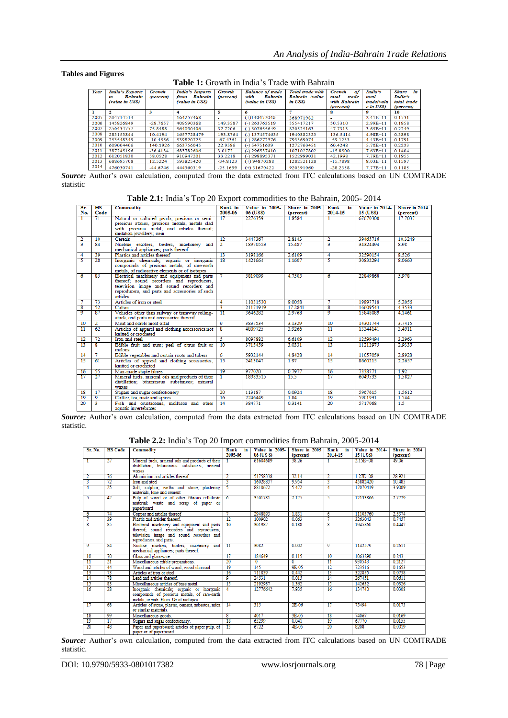#### **Tables and Figures**

### **Table 1:** Growth in India"s Trade with Bahrain

| Year | <b>India's Exports</b><br><b>Bahrain</b><br>to<br><i>(value in USS)</i> | Growth<br><i>(percent)</i> | <b>India's Imports</b><br>from Bahrain<br><i>(value in USS)</i> | Growth<br>(percent) | <b>Balance of trade</b><br>with<br><b>Bahrain</b><br><i>(value in USS)</i> | Total trade with<br><b>Bahrain</b> (value<br>in USS) | Growth<br>of<br>total<br>trade<br>with Bahrain<br><i>(percent)</i> | India's<br>total<br>trade(valu<br>e in USS) | <b>Share</b><br>în<br>India's<br>total trade<br>(percent) |
|------|-------------------------------------------------------------------------|----------------------------|-----------------------------------------------------------------|---------------------|----------------------------------------------------------------------------|------------------------------------------------------|--------------------------------------------------------------------|---------------------------------------------|-----------------------------------------------------------|
|      | 2                                                                       | з                          | 4                                                               | 5                   | 6                                                                          |                                                      | 8                                                                  | 9                                           | 10                                                        |
| 2005 | 204714514                                                               | ۰                          | 164257468                                                       |                     | $(+)140457046$                                                             | 368971982                                            |                                                                    | $2.41E+11$                                  | 0.1531                                                    |
| 2006 | 145826849                                                               | $-28.7657$                 | 409590368                                                       | 149.3587            | $(-)$ 263763519                                                            | 555417217                                            | 50.5310                                                            | $2.99E + 11$                                | 0.1858                                                    |
| 2007 | 256434757                                                               | 75.8488                    | 564090406                                                       | 37.7206             | $(-)$ 307655649                                                            | 820525163                                            | 47.7313                                                            | $3.65E + 11$                                | 0.2249                                                    |
| 2008 | 283153844                                                               | 10.4194                    | 1657728479                                                      | 193.8764            | $(-)$ 1374574635                                                           | 1940882323                                           | 136.5414                                                           | $4.98E+11$                                  | 0.3898                                                    |
| 2009 | 253548349                                                               | $-10.4556$                 | 539820725                                                       | $-67.4361$          | $(-)$ 286272376                                                            | 793369074                                            | $-59.1233$                                                         | $4.43E+11$                                  | 0.1791                                                    |
| 2010 | 609004406                                                               | 140.1926                   | 663756045                                                       | 22.9586             | $(-)$ 54751639                                                             | 1272760451                                           | 60.4248                                                            | $5.70E + 11$                                | 0.2233                                                    |
| 2011 | 387245196                                                               | $-36.4134$                 | 683782606                                                       | 3.0172              | $(-)$ 296537410                                                            | 1071027802                                           | $-15.8500$                                                         | $7.63E+11$                                  | 0.1404                                                    |
| 2012 | 612051830                                                               | 58.0528                    | 910947201                                                       | 33.2218             | $(-)$ 298895371                                                            | 1522999031                                           | 42.1998                                                            | $7.79E + 11$                                | 0.1955                                                    |
| 2013 | 688695708                                                               | 12.5224                    | 593825420                                                       | $-34.8123$          | $(+)$ 94870288                                                             | 1282521128                                           | $-15.7898$                                                         | $8.03E + 11$                                | 0.1597                                                    |
| 2014 | 476030741                                                               | $-44.6746$                 | 444360319                                                       | $-25.1699$          | $(+)$ 31670422                                                             | 920391060                                            | $-28.2358$                                                         | $7.77E + 11$                                | 0.1185                                                    |

Source: Author's own calculation, computed from the data extracted from ITC calculations based on UN COMTRADE statistic

**Table 2.1:** India"s Top 20 Export commodities to the Bahrain, 2005- 2014

| Sr.<br>No.              | $\overline{\text{HS}}$<br>Code | Commodity                                                             | Rank in<br>2005-06 | Value in 2005-<br>06 (US\$) | Share in 2005<br>(percent) | Rank<br>in<br>2014-15   | Value in 2014-<br>15 (US\$) | Share in 2014<br>(percent) |
|-------------------------|--------------------------------|-----------------------------------------------------------------------|--------------------|-----------------------------|----------------------------|-------------------------|-----------------------------|----------------------------|
|                         | 71                             | Natural or cultured pearls, precious or semi-                         | 17                 | 2276359                     | 1.8584                     |                         | 67670300                    | 17 7037                    |
|                         |                                | precious stones, precious metals, metals clad                         |                    |                             |                            |                         |                             |                            |
|                         |                                | with precious metal, and articles thereof;                            |                    |                             |                            |                         |                             |                            |
|                         |                                | imitation jewellery; coin                                             |                    |                             |                            |                         |                             |                            |
| 2                       | 10                             | Cereals                                                               | 12                 | 3447367                     | 2.8143                     | 2                       | 39465716                    | 10.3249                    |
| 3                       | $\overline{84}$                | Nuclear reactors, boilers, machinery and                              | $\overline{2}$     | 18970553                    | 15487                      | 3                       | 34324494                    | 898                        |
|                         |                                | mechanical appliances; parts thereof                                  |                    |                             |                            |                         |                             |                            |
| 4                       | 39                             | Plastics and articles thereof                                         | $\overline{13}$    | 3198166                     | 2.6109                     | 4                       | 32590154                    | 8.526                      |
| 5                       | $\overline{28}$                | Inorganic chemicals; organic or inorganic                             | $\overline{18}$    | 1421664                     | 1.1607                     | 5                       | 30832294                    | 8.0663                     |
|                         |                                | compounds of precious metals, of rare-earth                           |                    |                             |                            |                         |                             |                            |
|                         |                                | metals, of radioactive elements or of isotopes                        |                    |                             |                            |                         |                             |                            |
| 6                       | 85                             | Electrical machinery and equipment and parts                          |                    | 5819099                     | 4.7505                     | 6                       | 22849868                    | 5.978                      |
|                         |                                | thereof; sound recorders and reproducers,                             |                    |                             |                            |                         |                             |                            |
|                         |                                | television image and sound recorders and                              |                    |                             |                            |                         |                             |                            |
|                         |                                | reproducers, and parts and accessories of such                        |                    |                             |                            |                         |                             |                            |
|                         |                                | articles                                                              |                    |                             |                            |                         |                             |                            |
|                         | 73                             | Articles of iron or steel                                             | 4                  | 11031530                    | 9.0058                     |                         | 19897718                    | 5.2056                     |
| $\overline{\mathbf{s}}$ | 52                             | Cotton                                                                | 3                  | 21171919                    | 17.2841                    | $\overline{\mathbf{s}}$ | 16609543                    | 4.3533                     |
| ۰                       | 87                             | Vehicles other than railway or tramway rolling-                       | $\overline{11}$    | 3646282                     | 2.9768                     | ٥                       | 15848089                    | 4.1461                     |
|                         |                                | stock, and parts and accessories thereof                              |                    |                             |                            |                         |                             |                            |
| 10                      |                                | Meat and edible meat offal                                            | 9                  | 3837534                     | 3.1329                     | 10                      | 14301744                    | 3.7415                     |
| $\overline{11}$         | 62                             | Articles of apparel and clothing accessories, not                     | $\mathbf{s}$       | 4809725                     | 3.9266                     | $\overline{11}$         | 13344141                    | 3.4911                     |
|                         |                                | knitted or crocheted                                                  |                    |                             |                            |                         |                             |                            |
| 12                      | $\overline{22}$                | Iron and steel                                                        | 5                  | 8097882                     | 6.6109                     | $\overline{12}$         | 12599494                    | 3.2963                     |
| $\overline{13}$         | R                              | Edible fruit and nuts; peel of citrus fruit or                        | $\overline{10}$    | 3715459                     | 3.0331                     | $\overline{13}$         | 11212975                    | 2.9335                     |
|                         |                                | melons<br>Edible vegetables and certain roots and tubers              | $\overline{6}$     | 5932144                     | 4.8428                     | 14                      | 11057059                    | 2.8928                     |
| 14<br>$\overline{15}$   | 61                             |                                                                       | $\overline{15}$    | 2413047                     | 197                        | $\overline{15}$         | 8660215                     | 2.2657                     |
|                         |                                | Articles of apparel and clothing accessories,<br>knitted or crocheted |                    |                             |                            |                         |                             |                            |
| 16                      | 55                             | Man-made staple fibres                                                | 19                 | 977020                      | 0.7977                     | 16                      | 7338771                     | 1.92                       |
| 17                      | 27                             | Mineral fuels, mineral oils and products of their                     |                    | 18983515                    | 15.5                       | 17                      | 6049533                     | 1.5827                     |
|                         |                                | distillation: bituminous substances: mineral                          |                    |                             |                            |                         |                             |                            |
|                         |                                | waxes                                                                 |                    |                             |                            |                         |                             |                            |
| $\overline{18}$         | $\overline{17}$                | Sugars and sugar confectionery                                        | $\overline{20}$    | 113187                      | 0.0924                     | $\overline{18}$         | 5967615                     | 1.5612                     |
| 19                      | 9                              | Coffee, tea, mate and spices                                          | 16                 | 2246449                     | 1.84                       | 19                      | 5901931                     | 1.544                      |
| 20                      | ٩                              | Fish and crustaceans, molluscs and other                              | 14                 | 384771                      | 0.3141                     | 20                      | 5717068                     | 1.5                        |
|                         |                                | aggratic invertebrates                                                |                    |                             |                            |                         |                             |                            |

*Source:* Author's own calculation, computed from the data extracted from ITC calculations based on UN COMTRADE statistic.

| Table 2.2: India's Top 20 Import commodities from Bahrain, 2005-2014 |  |  |  |
|----------------------------------------------------------------------|--|--|--|
|----------------------------------------------------------------------|--|--|--|

| Sr. No.         | <b>HS Code</b>  | <b>Commodity</b>                                                                                                                                                 | Rank<br>in<br>2005-06 | Value in 2005-<br>06 (US \$) | Share in 2005<br>(percent) | Rank<br>in<br>2014-15   | Value in 2014-<br>15 (US\$) | Share in 2014<br>(percent) |
|-----------------|-----------------|------------------------------------------------------------------------------------------------------------------------------------------------------------------|-----------------------|------------------------------|----------------------------|-------------------------|-----------------------------|----------------------------|
| T               | 27              | Mineral fuels, mineral oils and products of their<br>distillation: bituminous substances: mineral<br>waxes                                                       |                       | 61604689                     | 38.26                      |                         | 2.15E+08                    | 49 06                      |
|                 | 76              | Aluminium and articles thereof                                                                                                                                   |                       | 51758338                     | 32.14                      |                         | $1.27E + 08$                | 28.921                     |
| 3               | 72              | Iron and steel                                                                                                                                                   | 3                     | 16028837                     | 9.954                      | 3                       | 45882420                    | 10.485                     |
| 4               | 25              | Salt; sulphur; earths and stone; plastering<br>materials. lime and cement                                                                                        |                       | 8810672                      | 5.472                      | 4                       | 17070419                    | 3.9009                     |
| 5               | 47              | Pulp of wood or of other fibrous cellulosic<br>material; waste and scrap of paper or<br>paperboard                                                               |                       | 3501781                      | 2.175                      | -5                      | 12133866                    | 2.7729                     |
| 6               | 74              | Copper and articles thereof                                                                                                                                      |                       | 2948893                      | 1.831                      | 6                       | 11103760                    | 2.5374                     |
|                 | 39              | Plastic and articles thereof.                                                                                                                                    | 12                    | 100902                       | 0.063                      |                         | 3263043                     | 0.7457                     |
| R               | 85              | Electrical machinery and equipment and parts<br>thereof; sound recorders and reproducers,<br>television image and sound recorders and<br>reproducers, and parts. | 10                    | 301987                       | 0.188                      | $\overline{\mathbf{s}}$ | 1945860                     | 0.4447                     |
| 9               | 84              | Nuclear reactors, boilers, machinery and<br>mechanical appliances; parts thereof.                                                                                | $\overline{11}$       | 3082                         | 0.002                      | 9                       | 1142579                     | 0.2611                     |
| 10              | 70              | Glass and glassware.                                                                                                                                             | 17                    | 184649                       | 0.115                      | 10                      | 1063290                     | 0.243                      |
| $\overline{11}$ | $\overline{21}$ | Miscellaneous edible preparations.                                                                                                                               | $\overline{20}$       | $\Omega$                     | $\overline{0}$             | $\overline{11}$         | 930543                      | 0.2127                     |
| $\overline{12}$ | 44              | Wood and articles of wood; wood charcoal.                                                                                                                        | 19                    | 145                          | 9E-05                      | $\overline{12}$         | 723516                      | 0.1653                     |
| 13              | 73              | Articles of iron or steel                                                                                                                                        | 16                    | 711859                       | 0.442                      | $\overline{13}$         | 322855                      | 0.0738                     |
| 14              | 78              | Lead and articles thereof                                                                                                                                        | 9                     | 24531                        | 0.015                      | 14                      | 267451                      | 0.0611                     |
| 15              | 83              | Miscellaneous articles of base metal.                                                                                                                            | 15                    | 2192987                      | 1.362                      | 15                      | 142632                      | 0.0326                     |
| 16              | $\overline{28}$ | Inorganic chemicals; organic or inorganic<br>compounds of precious metals, of rare-earth<br>metals, or radi. Elem. Or of isotopes.                               |                       | 12776642                     | 7.935                      | 16                      | 134740                      | 0.0308                     |
| $\overline{17}$ | 68              | Articles of stone, plaster, cement, asbestos, mica<br>or similar materials                                                                                       | 14                    | 315                          | 2E-06                      | $\overline{17}$         | 75494                       | 0.0173                     |
| 18              | 99              | Miscellaneous goods.                                                                                                                                             | <b>s</b>              | 4017                         | 3E-05                      | 18                      | 74067                       | 0.0169                     |
| 19              | 17              | Sugars and sugar confectionery.                                                                                                                                  | 18                    | 65299                        | 0.041                      | 19                      | 67770                       | 0.0155                     |
| $\overline{20}$ | 48              | Paper and paperboard; articles of paper pulp, of<br>paper or of paperboard                                                                                       | 13                    | 6722                         | 4E-05                      | $\overline{20}$         | 8208                        | 0.0019                     |

*Source:* Author's own calculation, computed from the data extracted from ITC calculations based on UN COMTRADE statistic.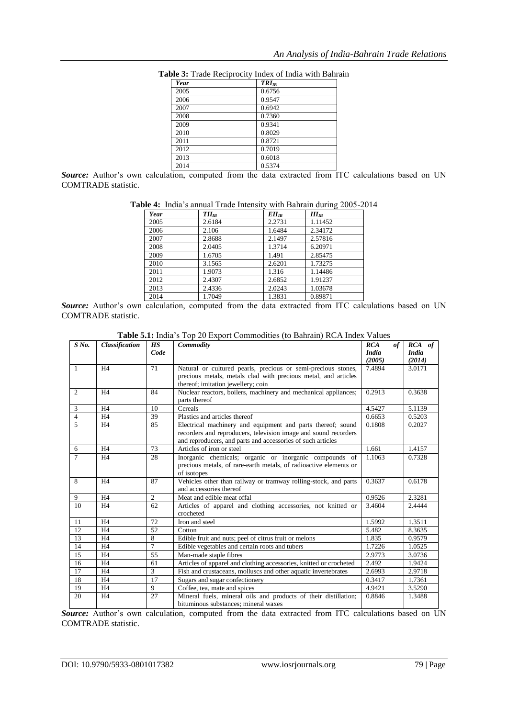| <b>Year</b> | $TRI_{IR}$ |
|-------------|------------|
| 2005        | 0.6756     |
| 2006        | 0.9547     |
| 2007        | 0.6942     |
| 2008        | 0.7360     |
| 2009        | 0.9341     |
| 2010        | 0.8029     |
| 2011        | 0.8721     |
| 2012        | 0.7019     |
| 2013        | 0.6018     |
| 2014        | 0.5374     |

**Table 3:** Trade Reciprocity Index of India with Bahrain

Source: Author's own calculation, computed from the data extracted from ITC calculations based on UN COMTRADE statistic.

| Year | $TII_{IB}$ | $Ell_{IB}$ | $III_{IB}$ |
|------|------------|------------|------------|
| 2005 | 2.6184     | 2.2731     | 1.11452    |
| 2006 | 2.106      | 1.6484     | 2.34172    |
| 2007 | 2.8688     | 2.1497     | 2.57816    |
| 2008 | 2.0405     | 1.3714     | 6.20971    |
| 2009 | 1.6705     | 1.491      | 2.85475    |
| 2010 | 3.1565     | 2.6201     | 1.73275    |
| 2011 | 1.9073     | 1.316      | 1.14486    |
| 2012 | 2.4307     | 2.6852     | 1.91237    |
| 2013 | 2.4336     | 2.0243     | 1.03678    |
| 2014 | 1.7049     | 1.3831     | 0.89871    |

**Source:** Author's own calculation, computed from the data extracted from ITC calculations based on UN COMTRADE statistic.

| $S$ No.        | Classification | <b>HS</b>      | Commodity                                                                                | <b>RCA</b>   | <b>of</b> | RCA of       |
|----------------|----------------|----------------|------------------------------------------------------------------------------------------|--------------|-----------|--------------|
|                |                | Code           |                                                                                          | <b>India</b> |           | <b>India</b> |
|                |                |                |                                                                                          | (2005)       |           | (2014)       |
| $\mathbf{1}$   | H <sub>4</sub> | 71             | Natural or cultured pearls, precious or semi-precious stones,                            | 7.4894       |           | 3.0171       |
|                |                |                | precious metals, metals clad with precious metal, and articles                           |              |           |              |
|                |                |                | thereof; imitation jewellery; coin                                                       |              |           |              |
| $\overline{2}$ | H <sub>4</sub> | 84             | Nuclear reactors, boilers, machinery and mechanical appliances;<br>parts thereof         | 0.2913       |           | 0.3638       |
| 3              | H <sub>4</sub> | 10             | Cereals                                                                                  | 4.5427       |           | 5.1139       |
|                | H <sub>4</sub> | 39             | Plastics and articles thereof                                                            | 0.6653       |           |              |
| $\overline{4}$ |                |                |                                                                                          |              |           | 0.5203       |
| 5              | H <sub>4</sub> | 85             | Electrical machinery and equipment and parts thereof; sound                              | 0.1808       |           | 0.2027       |
|                |                |                | recorders and reproducers, television image and sound recorders                          |              |           |              |
| 6              | H <sub>4</sub> | 73             | and reproducers, and parts and accessories of such articles<br>Articles of iron or steel | 1.661        |           | 1.4157       |
| $\overline{7}$ |                |                |                                                                                          |              |           |              |
|                | H <sub>4</sub> | 28             | Inorganic chemicals; organic or inorganic compounds of                                   | 1.1063       |           | 0.7328       |
|                |                |                | precious metals, of rare-earth metals, of radioactive elements or<br>of isotopes         |              |           |              |
| 8              | H <sub>4</sub> | 87             | Vehicles other than railway or tramway rolling-stock, and parts                          | 0.3637       |           | 0.6178       |
|                |                |                | and accessories thereof                                                                  |              |           |              |
| 9              | H <sub>4</sub> | $\overline{2}$ | Meat and edible meat offal                                                               | 0.9526       |           | 2.3281       |
| 10             | H <sub>4</sub> | 62             | Articles of apparel and clothing accessories, not knitted or                             | 3.4604       |           | 2.4444       |
|                |                |                | crocheted                                                                                |              |           |              |
| 11             | H <sub>4</sub> | 72             | Iron and steel                                                                           | 1.5992       |           | 1.3511       |
| 12             | H <sub>4</sub> | 52             | Cotton                                                                                   | 5.482        |           | 8.3635       |
| 13             | H <sub>4</sub> | 8              | Edible fruit and nuts; peel of citrus fruit or melons                                    | 1.835        |           | 0.9579       |
| 14             | H <sub>4</sub> | 7              | Edible vegetables and certain roots and tubers                                           | 1.7226       |           | 1.0525       |
| 15             | H <sub>4</sub> | 55             | Man-made staple fibres                                                                   | 2.9773       |           | 3.0736       |
| 16             | H <sub>4</sub> | 61             | Articles of apparel and clothing accessories, knitted or crocheted                       | 2.492        |           | 1.9424       |
| 17             | H <sub>4</sub> | 3              | Fish and crustaceans, molluscs and other aquatic invertebrates                           | 2.6993       |           | 2.9718       |
| 18             | H <sub>4</sub> | 17             | Sugars and sugar confectionery                                                           | 0.3417       |           | 1.7361       |
| 19             | H <sub>4</sub> | $\overline{9}$ | Coffee, tea, mate and spices                                                             | 4.9421       |           | 3.5290       |
| 20             | H <sub>4</sub> | 27             | Mineral fuels, mineral oils and products of their distillation;                          | 0.8846       |           | 1.3488       |
|                |                |                | bituminous substances; mineral waxes                                                     |              |           |              |

**Table 5.1:** India"s Top 20 Export Commodities (to Bahrain) RCA Index Values

Source: Author's own calculation, computed from the data extracted from ITC calculations based on UN COMTRADE statistic.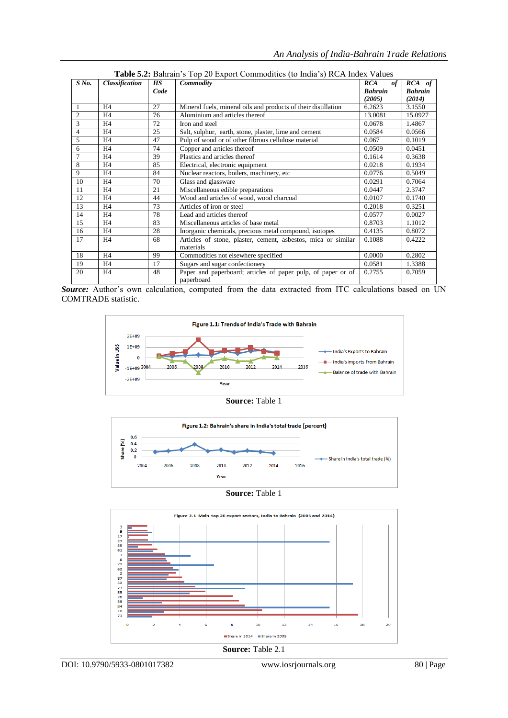| $S$ No.        | <b>Classification</b> | HS   | Commodity                                                      | <b>RCA</b><br>of | RCA of         |
|----------------|-----------------------|------|----------------------------------------------------------------|------------------|----------------|
|                |                       | Code |                                                                | <b>Bahrain</b>   | <b>Bahrain</b> |
|                |                       |      |                                                                | (2005)           | (2014)         |
|                | H <sub>4</sub>        | 27   | Mineral fuels, mineral oils and products of their distillation | 6.2623           | 3.1550         |
| $\overline{2}$ | H <sub>4</sub>        | 76   | Aluminium and articles thereof                                 | 13.0081          | 15.0927        |
| 3              | H <sub>4</sub>        | 72   | Iron and steel                                                 | 0.0678           | 1.4867         |
| $\overline{4}$ | H <sub>4</sub>        | 25   | Salt, sulphur, earth, stone, plaster, lime and cement          | 0.0584           | 0.0566         |
| 5              | H <sub>4</sub>        | 47   | Pulp of wood or of other fibrous cellulose material            | 0.067            | 0.1019         |
| 6              | H <sub>4</sub>        | 74   | Copper and articles thereof                                    | 0.0509           | 0.0451         |
| 7              | H <sub>4</sub>        | 39   | Plastics and articles thereof                                  | 0.1614           | 0.3638         |
| 8              | H <sub>4</sub>        | 85   | Electrical, electronic equipment                               | 0.0218           | 0.1934         |
| 9              | H <sub>4</sub>        | 84   | Nuclear reactors, boilers, machinery, etc                      | 0.0776           | 0.5049         |
| 10             | H <sub>4</sub>        | 70   | Glass and glassware                                            | 0.0291           | 0.7064         |
| 11             | H <sub>4</sub>        | 21   | Miscellaneous edible preparations                              | 0.0447           | 2.3747         |
| 12             | H <sub>4</sub>        | 44   | Wood and articles of wood, wood charcoal                       | 0.0107           | 0.1740         |
| 13             | H <sub>4</sub>        | 73   | Articles of iron or steel                                      | 0.2018           | 0.3251         |
| 14             | H <sub>4</sub>        | 78   | Lead and articles thereof                                      | 0.0577           | 0.0027         |
| 15             | H <sub>4</sub>        | 83   | Miscellaneous articles of base metal                           | 0.8703           | 1.1012         |
| 16             | H <sub>4</sub>        | 28   | Inorganic chemicals, precious metal compound, isotopes         | 0.4135           | 0.8072         |
| 17             | H <sub>4</sub>        | 68   | Articles of stone, plaster, cement, asbestos, mica or similar  | 0.1088           | 0.4222         |
|                |                       |      | materials                                                      |                  |                |
| 18             | H <sub>4</sub>        | 99   | Commodities not elsewhere specified                            | 0.0000           | 0.2802         |
| 19             | H4                    | 17   | Sugars and sugar confectionery                                 | 0.0581           | 1.3388         |
| 20             | H <sub>4</sub>        | 48   | Paper and paperboard; articles of paper pulp, of paper or of   | 0.2755           | 0.7059         |
|                |                       |      | paperboard                                                     |                  |                |

**Table 5.2:** Bahrain"s Top 20 Export Commodities (to India"s) RCA Index Values

Source: Author's own calculation, computed from the data extracted from ITC calculations based on UN COMTRADE statistic.



**Source:** Table 1



**Source:** Table 1

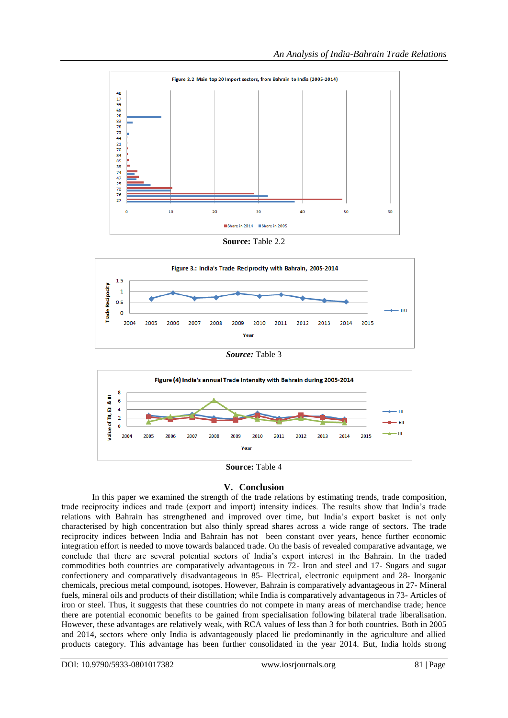

**Source:** Table 2.2



*Source:* Table 3



**Source:** Table 4

#### **V. Conclusion**

In this paper we examined the strength of the trade relations by estimating trends, trade composition, trade reciprocity indices and trade (export and import) intensity indices. The results show that India"s trade relations with Bahrain has strengthened and improved over time, but India"s export basket is not only characterised by high concentration but also thinly spread shares across a wide range of sectors. The trade reciprocity indices between India and Bahrain has not been constant over years, hence further economic integration effort is needed to move towards balanced trade. On the basis of revealed comparative advantage, we conclude that there are several potential sectors of India"s export interest in the Bahrain. In the traded commodities both countries are comparatively advantageous in 72- Iron and steel and 17- Sugars and sugar confectionery and comparatively disadvantageous in 85- Electrical, electronic equipment and 28- Inorganic chemicals, precious metal compound, isotopes. However, Bahrain is comparatively advantageous in 27- Mineral fuels, mineral oils and products of their distillation; while India is comparatively advantageous in 73- Articles of iron or steel. Thus, it suggests that these countries do not compete in many areas of merchandise trade; hence there are potential economic benefits to be gained from specialisation following bilateral trade liberalisation. However, these advantages are relatively weak, with RCA values of less than 3 for both countries. Both in 2005 and 2014, sectors where only India is advantageously placed lie predominantly in the agriculture and allied products category. This advantage has been further consolidated in the year 2014. But, India holds strong